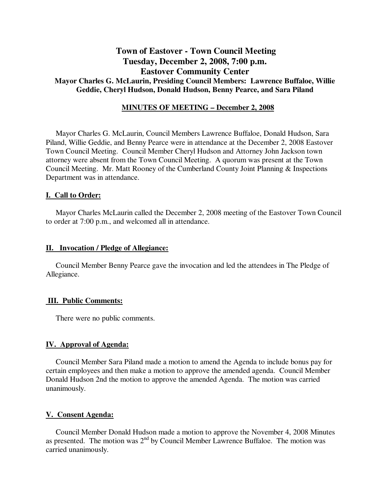# **Town of Eastover - Town Council Meeting Tuesday, December 2, 2008, 7:00 p.m. Eastover Community Center Mayor Charles G. McLaurin, Presiding Council Members: Lawrence Buffaloe, Willie Geddie, Cheryl Hudson, Donald Hudson, Benny Pearce, and Sara Piland**

## **MINUTES OF MEETING – December 2, 2008**

Mayor Charles G. McLaurin, Council Members Lawrence Buffaloe, Donald Hudson, Sara Piland, Willie Geddie, and Benny Pearce were in attendance at the December 2, 2008 Eastover Town Council Meeting. Council Member Cheryl Hudson and Attorney John Jackson town attorney were absent from the Town Council Meeting. A quorum was present at the Town Council Meeting. Mr. Matt Rooney of the Cumberland County Joint Planning & Inspections Department was in attendance.

### **I. Call to Order:**

Mayor Charles McLaurin called the December 2, 2008 meeting of the Eastover Town Council to order at 7:00 p.m., and welcomed all in attendance.

### **II. Invocation / Pledge of Allegiance:**

 Council Member Benny Pearce gave the invocation and led the attendees in The Pledge of Allegiance.

### **III. Public Comments:**

There were no public comments.

## **IV. Approval of Agenda:**

 Council Member Sara Piland made a motion to amend the Agenda to include bonus pay for certain employees and then make a motion to approve the amended agenda. Council Member Donald Hudson 2nd the motion to approve the amended Agenda. The motion was carried unanimously.

### **V. Consent Agenda:**

 Council Member Donald Hudson made a motion to approve the November 4, 2008 Minutes as presented. The motion was  $2<sup>nd</sup>$  by Council Member Lawrence Buffaloe. The motion was carried unanimously.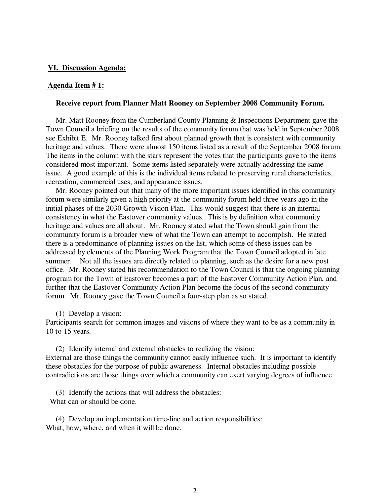### **VI. Discussion Agenda:**

### **Agenda Item # 1:**

### **Receive report from Planner Matt Rooney on September 2008 Community Forum.**

 Mr. Matt Rooney from the Cumberland County Planning & Inspections Department gave the Town Council a briefing on the results of the community forum that was held in September 2008 see Exhibit E. Mr. Rooney talked first about planned growth that is consistent with community heritage and values. There were almost 150 items listed as a result of the September 2008 forum. The items in the column with the stars represent the votes that the participants gave to the items considered most important. Some items listed separately were actually addressing the same issue. A good example of this is the individual items related to preserving rural characteristics, recreation, commercial uses, and appearance issues.

 Mr. Rooney pointed out that many of the more important issues identified in this community forum were similarly given a high priority at the community forum held three years ago in the initial phases of the 2030 Growth Vision Plan. This would suggest that there is an internal consistency in what the Eastover community values. This is by definition what community heritage and values are all about. Mr. Rooney stated what the Town should gain from the community forum is a broader view of what the Town can attempt to accomplish. He stated there is a predominance of planning issues on the list, which some of these issues can be addressed by elements of the Planning Work Program that the Town Council adopted in late summer. Not all the issues are directly related to planning, such as the desire for a new post office. Mr. Rooney stated his recommendation to the Town Council is that the ongoing planning program for the Town of Eastover becomes a part of the Eastover Community Action Plan, and further that the Eastover Community Action Plan become the focus of the second community forum. Mr. Rooney gave the Town Council a four-step plan as so stated.

#### (1) Develop a vision:

Participants search for common images and visions of where they want to be as a community in 10 to 15 years.

 (2) Identify internal and external obstacles to realizing the vision: External are those things the community cannot easily influence such. It is important to identify these obstacles for the purpose of public awareness. Internal obstacles including possible contradictions are those things over which a community can exert varying degrees of influence.

 (3) Identify the actions that will address the obstacles: What can or should be done.

 (4) Develop an implementation time-line and action responsibilities: What, how, where, and when it will be done.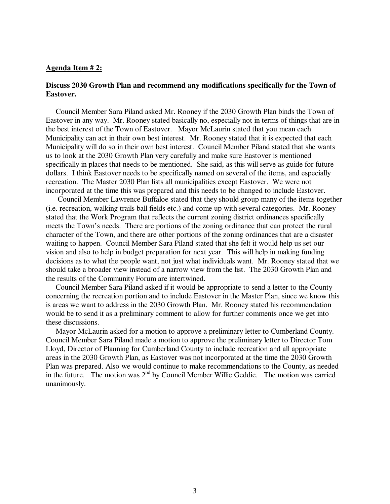## **Agenda Item # 2:**

## **Discuss 2030 Growth Plan and recommend any modifications specifically for the Town of Eastover.**

 Council Member Sara Piland asked Mr. Rooney if the 2030 Growth Plan binds the Town of Eastover in any way. Mr. Rooney stated basically no, especially not in terms of things that are in the best interest of the Town of Eastover. Mayor McLaurin stated that you mean each Municipality can act in their own best interest. Mr. Rooney stated that it is expected that each Municipality will do so in their own best interest. Council Member Piland stated that she wants us to look at the 2030 Growth Plan very carefully and make sure Eastover is mentioned specifically in places that needs to be mentioned. She said, as this will serve as guide for future dollars. I think Eastover needs to be specifically named on several of the items, and especially recreation. The Master 2030 Plan lists all municipalities except Eastover. We were not incorporated at the time this was prepared and this needs to be changed to include Eastover.

 Council Member Lawrence Buffaloe stated that they should group many of the items together (i.e. recreation, walking trails ball fields etc.) and come up with several categories. Mr. Rooney stated that the Work Program that reflects the current zoning district ordinances specifically meets the Town's needs. There are portions of the zoning ordinance that can protect the rural character of the Town, and there are other portions of the zoning ordinances that are a disaster waiting to happen. Council Member Sara Piland stated that she felt it would help us set our vision and also to help in budget preparation for next year. This will help in making funding decisions as to what the people want, not just what individuals want. Mr. Rooney stated that we should take a broader view instead of a narrow view from the list. The 2030 Growth Plan and the results of the Community Forum are intertwined.

 Council Member Sara Piland asked if it would be appropriate to send a letter to the County concerning the recreation portion and to include Eastover in the Master Plan, since we know this is areas we want to address in the 2030 Growth Plan. Mr. Rooney stated his recommendation would be to send it as a preliminary comment to allow for further comments once we get into these discussions.

 Mayor McLaurin asked for a motion to approve a preliminary letter to Cumberland County. Council Member Sara Piland made a motion to approve the preliminary letter to Director Tom Lloyd, Director of Planning for Cumberland County to include recreation and all appropriate areas in the 2030 Growth Plan, as Eastover was not incorporated at the time the 2030 Growth Plan was prepared. Also we would continue to make recommendations to the County, as needed in the future. The motion was 2<sup>nd</sup> by Council Member Willie Geddie. The motion was carried unanimously.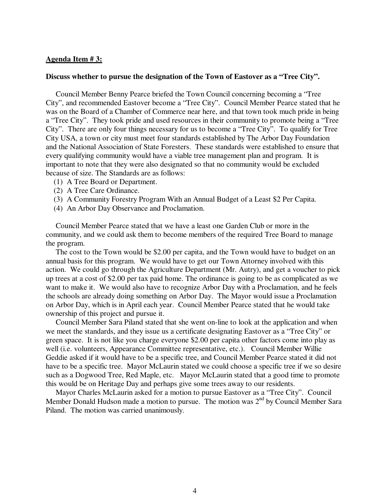## **Agenda Item # 3:**

### **Discuss whether to pursue the designation of the Town of Eastover as a "Tree City".**

 Council Member Benny Pearce briefed the Town Council concerning becoming a "Tree City", and recommended Eastover become a "Tree City". Council Member Pearce stated that he was on the Board of a Chamber of Commerce near here, and that town took much pride in being a "Tree City". They took pride and used resources in their community to promote being a "Tree City". There are only four things necessary for us to become a "Tree City". To qualify for Tree City USA, a town or city must meet four standards established by The Arbor Day Foundation and the National Association of State Foresters. These standards were established to ensure that every qualifying community would have a viable tree management plan and program. It is important to note that they were also designated so that no community would be excluded because of size. The Standards are as follows:

- (1) A Tree Board or Department.
- (2) A Tree Care Ordinance.
- (3) A Community Forestry Program With an Annual Budget of a Least \$2 Per Capita.
- (4) An Arbor Day Observance and Proclamation.

 Council Member Pearce stated that we have a least one Garden Club or more in the community, and we could ask them to become members of the required Tree Board to manage the program.

 The cost to the Town would be \$2.00 per capita, and the Town would have to budget on an annual basis for this program. We would have to get our Town Attorney involved with this action. We could go through the Agriculture Department (Mr. Autry), and get a voucher to pick up trees at a cost of \$2.00 per tax paid home. The ordinance is going to be as complicated as we want to make it. We would also have to recognize Arbor Day with a Proclamation, and he feels the schools are already doing something on Arbor Day. The Mayor would issue a Proclamation on Arbor Day, which is in April each year. Council Member Pearce stated that he would take ownership of this project and pursue it.

 Council Member Sara Piland stated that she went on-line to look at the application and when we meet the standards, and they issue us a certificate designating Eastover as a "Tree City" or green space. It is not like you charge everyone \$2.00 per capita other factors come into play as well (i.e. volunteers, Appearance Committee representative, etc.). Council Member Willie Geddie asked if it would have to be a specific tree, and Council Member Pearce stated it did not have to be a specific tree. Mayor McLaurin stated we could choose a specific tree if we so desire such as a Dogwood Tree, Red Maple, etc. Mayor McLaurin stated that a good time to promote this would be on Heritage Day and perhaps give some trees away to our residents.

 Mayor Charles McLaurin asked for a motion to pursue Eastover as a "Tree City". Council Member Donald Hudson made a motion to pursue. The motion was 2<sup>nd</sup> by Council Member Sara Piland. The motion was carried unanimously.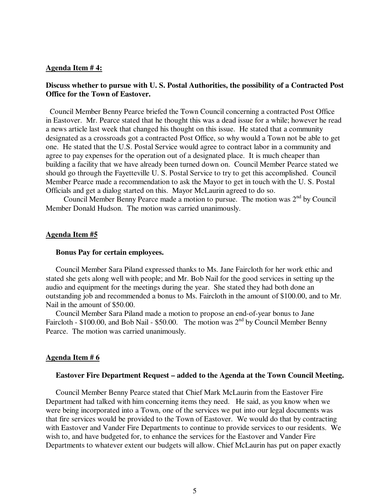## **Agenda Item # 4:**

## **Discuss whether to pursue with U. S. Postal Authorities, the possibility of a Contracted Post Office for the Town of Eastover.**

 Council Member Benny Pearce briefed the Town Council concerning a contracted Post Office in Eastover. Mr. Pearce stated that he thought this was a dead issue for a while; however he read a news article last week that changed his thought on this issue. He stated that a community designated as a crossroads got a contracted Post Office, so why would a Town not be able to get one. He stated that the U.S. Postal Service would agree to contract labor in a community and agree to pay expenses for the operation out of a designated place. It is much cheaper than building a facility that we have already been turned down on. Council Member Pearce stated we should go through the Fayetteville U. S. Postal Service to try to get this accomplished. Council Member Pearce made a recommendation to ask the Mayor to get in touch with the U. S. Postal Officials and get a dialog started on this. Mayor McLaurin agreed to do so.

Council Member Benny Pearce made a motion to pursue. The motion was  $2<sup>nd</sup>$  by Council Member Donald Hudson. The motion was carried unanimously.

#### **Agenda Item #5**

### **Bonus Pay for certain employees.**

Council Member Sara Piland expressed thanks to Ms. Jane Faircloth for her work ethic and stated she gets along well with people; and Mr. Bob Nail for the good services in setting up the audio and equipment for the meetings during the year. She stated they had both done an outstanding job and recommended a bonus to Ms. Faircloth in the amount of \$100.00, and to Mr. Nail in the amount of \$50.00.

 Council Member Sara Piland made a motion to propose an end-of-year bonus to Jane Faircloth -  $$100.00$ , and Bob Nail -  $$50.00$ . The motion was  $2<sup>nd</sup>$  by Council Member Benny Pearce. The motion was carried unanimously.

### **Agenda Item # 6**

### **Eastover Fire Department Request – added to the Agenda at the Town Council Meeting.**

 Council Member Benny Pearce stated that Chief Mark McLaurin from the Eastover Fire Department had talked with him concerning items they need. He said, as you know when we were being incorporated into a Town, one of the services we put into our legal documents was that fire services would be provided to the Town of Eastover. We would do that by contracting with Eastover and Vander Fire Departments to continue to provide services to our residents. We wish to, and have budgeted for, to enhance the services for the Eastover and Vander Fire Departments to whatever extent our budgets will allow. Chief McLaurin has put on paper exactly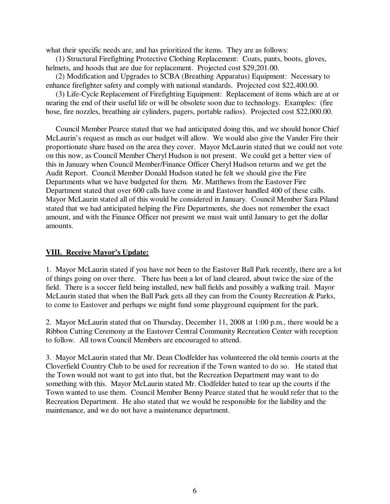what their specific needs are, and has prioritized the items. They are as follows:

 (1) Structural Firefighting Protective Clothing Replacement: Coats, pants, boots, gloves, helmets, and hoods that are due for replacement. Projected cost \$29,201.00.

 (2) Modification and Upgrades to SCBA (Breathing Apparatus) Equipment: Necessary to enhance firefighter safety and comply with national standards. Projected cost \$22,400.00.

 (3) Life-Cycle Replacement of Firefighting Equipment: Replacement of items which are at or nearing the end of their useful life or will be obsolete soon due to technology. Examples: (fire hose, fire nozzles, breathing air cylinders, pagers, portable radios). Projected cost \$22,000.00.

 Council Member Pearce stated that we had anticipated doing this, and we should honor Chief McLaurin's request as much as our budget will allow. We would also give the Vander Fire their proportionate share based on the area they cover. Mayor McLaurin stated that we could not vote on this now, as Council Member Cheryl Hudson is not present. We could get a better view of this in January when Council Member/Finance Officer Cheryl Hudson returns and we get the Audit Report. Council Member Donald Hudson stated he felt we should give the Fire Departments what we have budgeted for them. Mr. Matthews from the Eastover Fire Department stated that over 600 calls have come in and Eastover handled 400 of these calls. Mayor McLaurin stated all of this would be considered in January. Council Member Sara Piland stated that we had anticipated helping the Fire Departments, she does not remember the exact amount, and with the Finance Officer not present we must wait until January to get the dollar amounts.

## **VIII. Receive Mayor's Update:**

1. Mayor McLaurin stated if you have not been to the Eastover Ball Park recently, there are a lot of things going on over there. There has been a lot of land cleared, about twice the size of the field. There is a soccer field being installed, new ball fields and possibly a walking trail. Mayor McLaurin stated that when the Ball Park gets all they can from the County Recreation & Parks, to come to Eastover and perhaps we might fund some playground equipment for the park.

2. Mayor McLaurin stated that on Thursday, December 11, 2008 at 1:00 p.m., there would be a Ribbon Cutting Ceremony at the Eastover Central Community Recreation Center with reception to follow. All town Council Members are encouraged to attend.

3. Mayor McLaurin stated that Mr. Dean Clodfelder has volunteered the old tennis courts at the Cloverfield Country Club to be used for recreation if the Town wanted to do so. He stated that the Town would not want to get into that, but the Recreation Department may want to do something with this. Mayor McLaurin stated Mr. Clodfelder hated to tear up the courts if the Town wanted to use them. Council Member Benny Pearce stated that he would refer that to the Recreation Department. He also stated that we would be responsible for the liability and the maintenance, and we do not have a maintenance department.